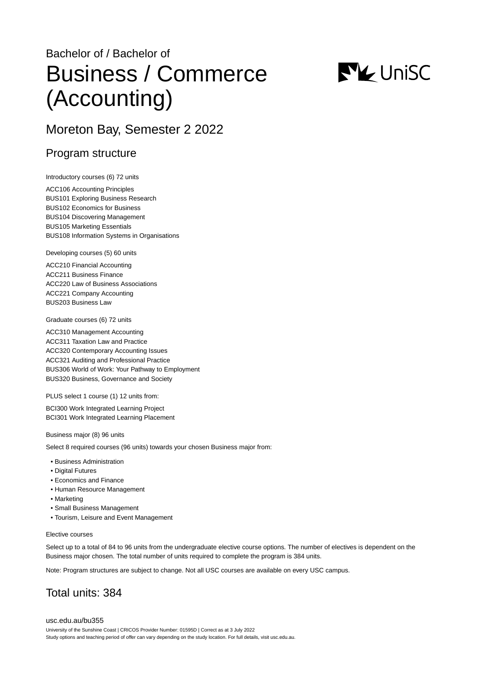# Bachelor of / Bachelor of Business / Commerce (Accounting)



# Moreton Bay, Semester 2 2022

### Program structure

Introductory courses (6) 72 units

ACC106 Accounting Principles BUS101 Exploring Business Research BUS102 Economics for Business BUS104 Discovering Management BUS105 Marketing Essentials BUS108 Information Systems in Organisations

Developing courses (5) 60 units

ACC210 Financial Accounting ACC211 Business Finance ACC220 Law of Business Associations ACC221 Company Accounting BUS203 Business Law

Graduate courses (6) 72 units

ACC310 Management Accounting ACC311 Taxation Law and Practice ACC320 Contemporary Accounting Issues ACC321 Auditing and Professional Practice BUS306 World of Work: Your Pathway to Employment BUS320 Business, Governance and Society

PLUS select 1 course (1) 12 units from:

BCI300 Work Integrated Learning Project BCI301 Work Integrated Learning Placement

Business major (8) 96 units

Select 8 required courses (96 units) towards your chosen Business major from:

- Business Administration
- Digital Futures
- Economics and Finance
- Human Resource Management
- Marketing
- Small Business Management
- Tourism, Leisure and Event Management

#### Elective courses

Select up to a total of 84 to 96 units from the undergraduate elective course options. The number of electives is dependent on the Business major chosen. The total number of units required to complete the program is 384 units.

Note: Program structures are subject to change. Not all USC courses are available on every USC campus.

# Total units: 384

[usc.edu.au/bu355](https://www.usc.edu.au/bu355) University of the Sunshine Coast | CRICOS Provider Number: 01595D | Correct as at 3 July 2022 Study options and teaching period of offer can vary depending on the study location. For full details, visit usc.edu.au.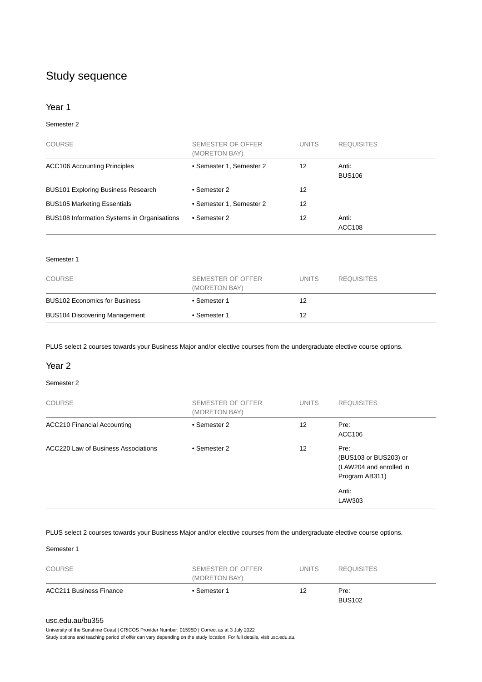# Study sequence

#### Year 1

#### Semester 2

| <b>COURSE</b>                               | SEMESTER OF OFFER<br>(MORETON BAY) | <b>UNITS</b> | <b>REQUISITES</b>      |
|---------------------------------------------|------------------------------------|--------------|------------------------|
| <b>ACC106 Accounting Principles</b>         | • Semester 1, Semester 2           | 12           | Anti:<br><b>BUS106</b> |
| <b>BUS101 Exploring Business Research</b>   | • Semester 2                       | 12           |                        |
| <b>BUS105 Marketing Essentials</b>          | • Semester 1, Semester 2           | 12           |                        |
| BUS108 Information Systems in Organisations | • Semester 2                       | 12           | Anti:<br><b>ACC108</b> |

#### Semester 1

| COURSE                               | SEMESTER OF OFFER<br>(MORETON BAY) | <b>UNITS</b> | <b>REQUISITES</b> |
|--------------------------------------|------------------------------------|--------------|-------------------|
| <b>BUS102 Economics for Business</b> | • Semester 1                       | 12           |                   |
| <b>BUS104 Discovering Management</b> | • Semester 1                       | 12           |                   |

PLUS select 2 courses towards your Business Major and/or elective courses from the undergraduate elective course options.

#### Year 2

#### Semester 2

| <b>COURSE</b>                       | SEMESTER OF OFFER<br>(MORETON BAY) | <b>UNITS</b> | <b>REQUISITES</b>                                                          |
|-------------------------------------|------------------------------------|--------------|----------------------------------------------------------------------------|
| <b>ACC210 Financial Accounting</b>  | • Semester 2                       | 12           | Pre:<br>ACC106                                                             |
| ACC220 Law of Business Associations | • Semester 2                       | 12           | Pre:<br>(BUS103 or BUS203) or<br>(LAW204 and enrolled in<br>Program AB311) |
|                                     |                                    |              | Anti:<br>LAW303                                                            |

PLUS select 2 courses towards your Business Major and/or elective courses from the undergraduate elective course options.

Semester 1

| COURSE                         | SEMESTER OF OFFER<br>(MORETON BAY) | UNITS | <b>REQUISITES</b>     |
|--------------------------------|------------------------------------|-------|-----------------------|
| <b>ACC211 Business Finance</b> | • Semester 1                       | 12    | Pre:<br><b>BUS102</b> |

#### [usc.edu.au/bu355](https://www.usc.edu.au/bu355)

University of the Sunshine Coast | CRICOS Provider Number: 01595D | Correct as at 3 July 2022

Study options and teaching period of offer can vary depending on the study location. For full details, visit usc.edu.au.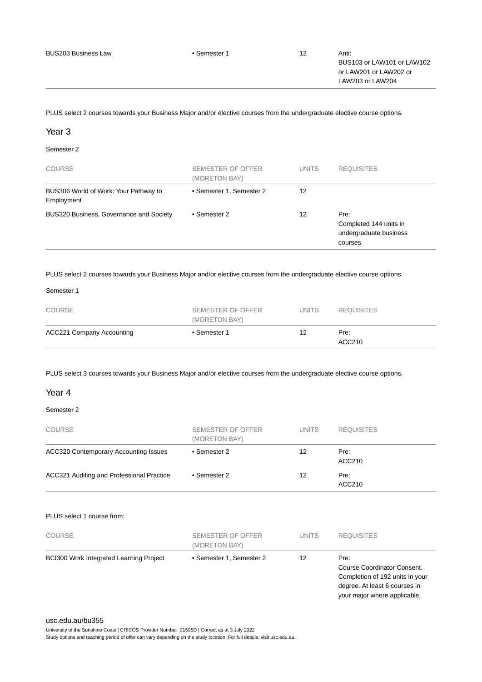PLUS select 2 courses towards your Business Major and/or elective courses from the undergraduate elective course options.

#### Year 3

#### Semester 2

| <b>COURSE</b>                                       | SEMESTER OF OFFER<br>(MORETON BAY) | <b>UNITS</b> | <b>REQUISITES</b>                                                   |
|-----------------------------------------------------|------------------------------------|--------------|---------------------------------------------------------------------|
| BUS306 World of Work: Your Pathway to<br>Employment | • Semester 1, Semester 2           | 12           |                                                                     |
| BUS320 Business, Governance and Society             | • Semester 2                       | 12           | Pre:<br>Completed 144 units in<br>undergraduate business<br>courses |

PLUS select 2 courses towards your Business Major and/or elective courses from the undergraduate elective course options.

#### Semester 1

| <b>COURSE</b>                    | SEMESTER OF OFFER<br>(MORETON BAY) | <b>UNITS</b> | <b>REQUISITES</b> |
|----------------------------------|------------------------------------|--------------|-------------------|
| <b>ACC221 Company Accounting</b> | • Semester 1                       | 12           | Pre:<br>ACC210    |

PLUS select 3 courses towards your Business Major and/or elective courses from the undergraduate elective course options.

#### Year 4

#### Semester 2

| <b>COURSE</b>                                | <b>SEMESTER OF OFFER</b><br>(MORETON BAY) | <b>UNITS</b> | <b>REQUISITES</b> |
|----------------------------------------------|-------------------------------------------|--------------|-------------------|
| <b>ACC320 Contemporary Accounting Issues</b> | • Semester 2                              | 12           | Pre:<br>ACC210    |
| ACC321 Auditing and Professional Practice    | • Semester 2                              | 12           | Pre:<br>ACC210    |

#### PLUS select 1 course from:

| <b>COURSE</b>                                  | SEMESTER OF OFFER<br>(MORETON BAY) | <b>UNITS</b> | <b>REQUISITES</b>                                                                                                                       |
|------------------------------------------------|------------------------------------|--------------|-----------------------------------------------------------------------------------------------------------------------------------------|
| <b>BCI300 Work Integrated Learning Project</b> | • Semester 1, Semester 2           | 12           | Pre:<br>Course Coordinator Consent.<br>Completion of 192 units in your<br>degree. At least 6 courses in<br>your major where applicable. |

#### [usc.edu.au/bu355](https://www.usc.edu.au/bu355)

University of the Sunshine Coast | CRICOS Provider Number: 01595D | Correct as at 3 July 2022 Study options and teaching period of offer can vary depending on the study location. For full details, visit usc.edu.au.